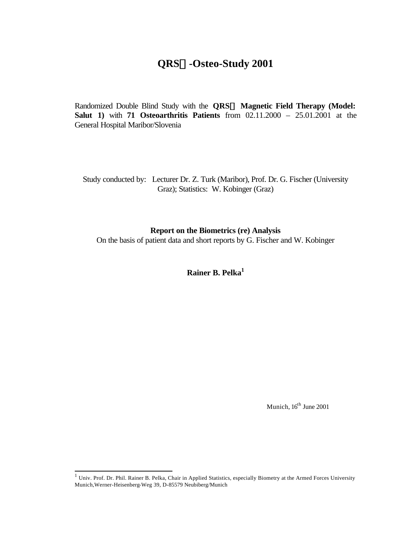# **QRSâ-Osteo-Study 2001**

Randomized Double Blind Study with the **QRSâ Magnetic Field Therapy (Model: Salut 1)** with **71 Osteoarthritis Patients** from 02.11.2000 – 25.01.2001 at the General Hospital Maribor/Slovenia

Study conducted by: Lecturer Dr. Z. Turk (Maribor), Prof. Dr. G. Fischer (University Graz); Statistics: W. Kobinger (Graz)

**Report on the Biometrics (re) Analysis**

On the basis of patient data and short reports by G. Fischer and W. Kobinger

**Rainer B. Pelka<sup>1</sup>** 

Munich,  $16^{th}$  June 2001

 1 Univ. Prof. Dr. Phil. Rainer B. Pelka, Chair in Applied Statistics, especially Biometry at the Armed Forces University Munich,Werner-Heisenberg-Weg 39, D-85579 Neubiberg/Munich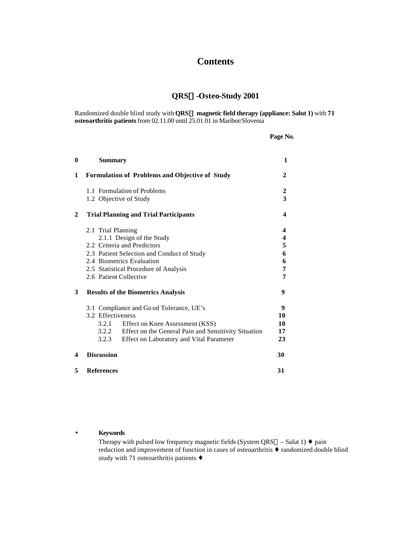# **Contents**

## **QRSâ-Osteo-Study 2001**

Randomized double blind study with **QRSâ magnetic field therapy (appliance: Salut 1)** with **71 osteoarthritis patients** from 02.11.00 until 25.01.01 in Maribor/Slovenia

| u<br>w | n.<br>ъ<br>и |
|--------|--------------|
|        |              |

| $\bf{0}$ | <b>Summary</b>                                             | 1      |
|----------|------------------------------------------------------------|--------|
| 1        | <b>Formulation of Problems and Objective of Study</b>      | 2      |
|          | 1.1 Formulation of Problems<br>1.2 Objective of Study      | 2<br>3 |
|          |                                                            |        |
| 2        | <b>Trial Planning and Trial Participants</b>               | 4      |
|          | 2.1 Trial Planning                                         | 4      |
|          | 2.1.1 Design of the Study                                  | 4      |
|          | 2.2 Criteria and Predictors                                | 5      |
|          | 2.3 Patient Selection and Conduct of Study                 | 6      |
|          | 2.4 Biometrics Evaluation                                  | 6      |
|          | 2.5 Statistical Procedure of Analysis                      | 7      |
|          | 2.6 Patient Collective                                     | 7      |
| 3        | <b>Results of the Biometrics Analysis</b>                  | 9      |
|          | 3.1 Compliance and Go od Tolerance, UE's                   | 9      |
|          | 3.2 Effectiveness                                          | 10     |
|          | 3.2.1<br>Effect on Knee Assessment (KSS)                   | 10     |
|          | 3.2.2 Effect on the General Pain and Sensitivity Situation | 17     |
|          | 3.2.3<br>Effect on Laboratory and Vital Parameter          | 23     |
| 4        | <b>Discussion</b>                                          | 30     |
| 5        | <b>References</b>                                          | 31     |

#### • **Keywords**

Therapy with pulsed low frequency magnetic fields (System QRS $@$  – Salut 1)  $\blacklozenge$  pain reduction and improvement of function in cases of osteoarthritis ♦ randomized double blind study with 71 osteoarthritis patients ♦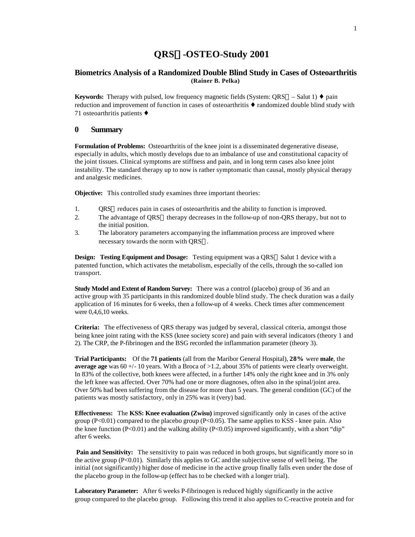## **QRSâ-OSTEO-Study 2001**

### **Biometrics Analysis of a Randomized Double Blind Study in Cases of Osteoarthritis (Rainer B. Pelka)**

**Keywords:** Therapy with pulsed, low frequency magnetic fields (System: QRS<sup>®</sup> – Salut 1) ♦ pain reduction and improvement of function in cases of osteoarthritis ♦ randomized double blind study with 71 osteoarthritis patients ♦

#### **0 Summary**

**Formulation of Problems:** Osteoarthritis of the knee joint is a disseminated degenerative disease, especially in adults, which mostly develops due to an imbalance of use and constitutional capacity of the joint tissues. Clinical symptoms are stiffness and pain, and in long term cases also knee joint instability. The standard therapy up to now is rather symptomatic than causal, mostly physical therapy and analgesic medicines.

**Objective:** This controlled study examines three important theories:

- 1. QRS® reduces pain in cases of osteoarthritis and the ability to function is improved.
- 2. The advantage of QRS® therapy decreases in the follow-up of non-QRS therapy, but not to the initial position.
- 3. The laboratory parameters accompanying the inflammation process are improved where necessary towards the norm with QRS®.

**Design: Testing Equipment and Dosage:** Testing equipment was a QRS® Salut 1 device with a patented function, which activates the metabolism, especially of the cells, through the so-called ion transport.

**Study Model and Extent of Random Survey:** There was a control (placebo) group of 36 and an active group with 35 participants in this randomized double blind study. The check duration was a daily application of 16 minutes for 6 weeks, then a follow-up of 4 weeks. Check times after commencement were 0,4,6,10 weeks.

**Criteria:** The effectiveness of QRS therapy was judged by several, classical criteria, amongst those being knee joint rating with the KSS (knee society score) and pain with several indicators (theory 1 and 2). The CRP, the P-fibrinogen and the BSG recorded the inflammation parameter (theory 3).

**Trial Participants:** Of the **71 patients** (all from the Maribor General Hospital), **28%** were **male**, the **average age** was  $60 + (-10)$  years. With a Broca of  $>1.2$ , about 35% of patients were clearly overweight. In 83% of the collective, both knees were affected, in a further 14% only the right knee and in 3% only the left knee was affected. Over 70% had one or more diagnoses, often also in the spinal/joint area. Over 50% had been suffering from the disease for more than 5 years. The general condition (GC) of the patients was mostly satisfactory, only in 25% was it (very) bad.

**Effectiveness:** The **KSS: Knee evaluation (Zwisu)** improved significantly only in cases of the active group  $(P<0.01)$  compared to the placebo group  $(P<0.05)$ . The same applies to KSS - knee pain. Also the knee function (P<0.01) and the walking ability (P<0.05) improved significantly, with a short "dip" after 6 weeks.

**Pain and Sensitivity:** The sensitivity to pain was reduced in both groups, but significantly more so in the active group  $(P<0.01)$ . Similarly this applies to GC and the subjective sense of well being. The initial (not significantly) higher dose of medicine in the active group finally falls even under the dose of the placebo group in the follow-up (effect has to be checked with a longer trial).

**Laboratory Parameter:** After 6 weeks P-fibrinogen is reduced highly significantly in the active group compared to the placebo group. Following this trend it also applies to C-reactive protein and for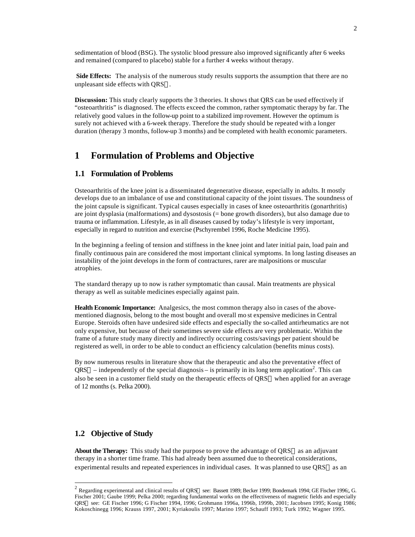sedimentation of blood (BSG). The systolic blood pressure also improved significantly after 6 weeks and remained (compared to placebo) stable for a further 4 weeks without therapy.

**Side Effects:** The analysis of the numerous study results supports the assumption that there are no unpleasant side effects with QRS®.

**Discussion:** This study clearly supports the 3 theories. It shows that QRS can be used effectively if "osteoarthritis" is diagnosed. The effects exceed the common, rather symptomatic therapy by far. The relatively good values in the follow-up point to a stabilized imp rovement. However the optimum is surely not achieved with a 6-week therapy. Therefore the study should be repeated with a longer duration (therapy 3 months, follow-up 3 months) and be completed with health economic parameters.

## **1 Formulation of Problems and Objective**

#### **1.1 Formulation of Problems**

Osteoarthritis of the knee joint is a disseminated degenerative disease, especially in adults. It mostly develops due to an imbalance of use and constitutional capacity of the joint tissues. The soundness of the joint capsule is significant. Typical causes especially in cases of knee osteoarthritis (gonarthritis) are joint dysplasia (malformations) and dysostosis (= bone growth disorders), but also damage due to trauma or inflammation. Lifestyle, as in all diseases caused by today's lifestyle is very important, especially in regard to nutrition and exercise (Pschyrembel 1996, Roche Medicine 1995).

In the beginning a feeling of tension and stiffness in the knee joint and later initial pain, load pain and finally continuous pain are considered the most important clinical symptoms. In long lasting diseases an instability of the joint develops in the form of contractures, rarer are malpositions or muscular atrophies.

The standard therapy up to now is rather symptomatic than causal. Main treatments are physical therapy as well as suitable medicines especially against pain.

**Health Economic Importance:** Analgesics, the most common therapy also in cases of the abovementioned diagnosis, belong to the most bought and overall mo st expensive medicines in Central Europe. Steroids often have undesired side effects and especially the so-called antirheumatics are not only expensive, but because of their sometimes severe side effects are very problematic. Within the frame of a future study many directly and indirectly occurring costs/savings per patient should be registered as well, in order to be able to conduct an efficiency calculation (benefits minus costs).

By now numerous results in literature show that the therapeutic and also the preventative effect of  $QRS@ -$  independently of the special diagnosis – is primarily in its long term application<sup>2</sup>. This can also be seen in a customer field study on the therapeutic effects of QRS® when applied for an average of 12 months (s. Pelka 2000).

### **1.2 Objective of Study**

l

About the Therapy: This study had the purpose to prove the advantage of QRS<sup>®</sup> as an adjuvant therapy in a shorter time frame. This had already been assumed due to theoretical considerations, experimental results and repeated experiences in individual cases. It was planned to use  $QRS@$  as an

<sup>&</sup>lt;sup>2</sup> Regarding experimental and clinical results of QRS® see: Bassett 1989; Becker 1999; Bondemark 1994; GE Fischer 1996;, G. Fischer 2001; Gaube 1999; Pelka 2000; regarding fundamental works on the effectiveness of magnetic fields and especially QRS see: GE Fischer 1996; G Fischer 1994, 1996; Grohmann 1996a, 1996b, 1999b, 2001; Jacobsen 1995; Konig 1986; Kokoschinegg 1996; Krauss 1997, 2001; Kyriakoulis 1997; Marino 1997; Schauff 1993; Turk 1992; Wagner 1995.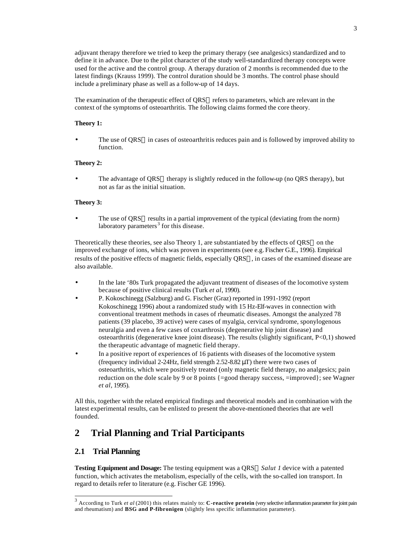adjuvant therapy therefore we tried to keep the primary therapy (see analgesics) standardized and to define it in advance. Due to the pilot character of the study well-standardized therapy concepts were used for the active and the control group. A therapy duration of 2 months is recommended due to the latest findings (Krauss 1999). The control duration should be 3 months. The control phase should include a preliminary phase as well as a follow-up of 14 days.

The examination of the therapeutic effect of QRS® refers to parameters, which are relevant in the context of the symptoms of osteoarthritis. The following claims formed the core theory.

#### **Theory 1:**

The use of QRS $\circledcirc$  in cases of osteoarthritis reduces pain and is followed by improved ability to function.

#### **Theory 2:**

The advantage of QRS® therapy is slightly reduced in the follow-up (no QRS therapy), but not as far as the initial situation.

#### **Theory 3:**

The use of QRS **®** results in a partial improvement of the typical (deviating from the norm) laboratory parameters<sup>3</sup> for this disease.

Theoretically these theories, see also Theory 1, are substantiated by the effects of  $QRS@$  on the improved exchange of ions, which was proven in experiments (see e.g. Fischer G.E., 1996). Empirical results of the positive effects of magnetic fields, especially QRS®, in cases of the examined disease are also available.

- In the late '80s Turk propagated the adjuvant treatment of diseases of the locomotive system because of positive clinical results (Turk *et al*, 1990).
- P. Kokoschinegg (Salzburg) and G. Fischer (Graz) reported in 1991-1992 (report Kokoschinegg 1996) about a randomized study with 15 Hz-Elf-waves in connection with conventional treatment methods in cases of rheumatic diseases. Amongst the analyzed 78 patients (39 placebo, 39 active) were cases of myalgia, cervical syndrome, sponylogenous neuralgia and even a few cases of coxarthrosis (degenerative hip joint disease) and osteoarthritis (degenerative knee joint disease). The results (slightly significant, P<0,1) showed the therapeutic advantage of magnetic field therapy.
- In a positive report of experiences of 16 patients with diseases of the locomotive system (frequency individual 2-24Hz, field strength 2.52-8.82 μT) there were two cases of osteoarthritis, which were positively treated (only magnetic field therapy, no analgesics; pain reduction on the dole scale by 9 or 8 points {=good therapy success, =improved}; see Wagner *et al*, 1995).

All this, together with the related empirical findings and theoretical models and in combination with the latest experimental results, can be enlisted to present the above-mentioned theories that are well founded.

## **2 Trial Planning and Trial Participants**

### **2.1 Trial Planning**

l

**Testing Equipment and Dosage:** The testing equipment was a QRS *Salut 1* device with a patented function, which activates the metabolism, especially of the cells, with the so-called ion transport. In regard to details refer to literature (e.g. Fischer GE 1996).

<sup>3</sup> According to Turk *et al* (2001) this relates mainly to: **C-reactive protein** (very selective inflammation parameter for joint pain and rheumatism) and **BSG and P-fibronigen** (slightly less specific inflammation parameter).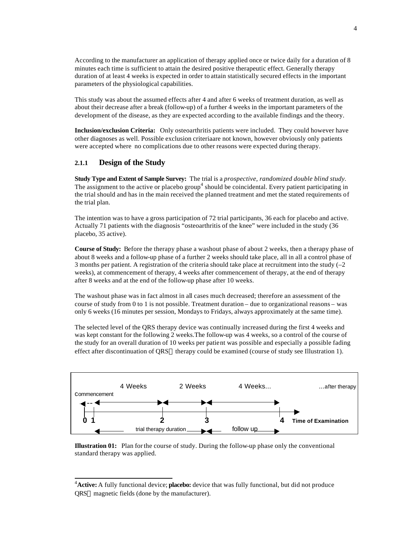According to the manufacturer an application of therapy applied once or twice daily for a duration of 8 minutes each time is sufficient to attain the desired positive therapeutic effect. Generally therapy duration of at least 4 weeks is expected in order to attain statistically secured effects in the important parameters of the physiological capabilities.

This study was about the assumed effects after 4 and after 6 weeks of treatment duration, as well as about their decrease after a break (follow-up) of a further 4 weeks in the important parameters of the development of the disease, as they are expected according to the available findings and the theory.

**Inclusion/exclusion Criteria:** Only osteoarthritis patients were included. They could however have other diagnoses as well. Possible exclusion criteriaare not known, however obviously only patients were accepted where no complications due to other reasons were expected during therapy.

### **2.1.1 Design of the Study**

l

**Study Type and Extent of Sample Survey:** The trial is a *prospective, randomized double blind study.*  The assignment to the active or placebo group<sup>4</sup> should be coincidental. Every patient participating in the trial should and has in the main received the planned treatment and met the stated requirements of the trial plan.

The intention was to have a gross participation of 72 trial participants, 36 each for placebo and active. Actually 71 patients with the diagnosis "osteoarthritis of the knee" were included in the study (36 placebo, 35 active).

**Course of Study:** Before the therapy phase a washout phase of about 2 weeks, then a therapy phase of about 8 weeks and a follow-up phase of a further 2 weeks should take place, all in all a control phase of 3 months per patient. A registration of the criteria should take place at recruitment into the study (–2 weeks), at commencement of therapy, 4 weeks after commencement of therapy, at the end of therapy after 8 weeks and at the end of the follow-up phase after 10 weeks.

The washout phase was in fact almost in all cases much decreased; therefore an assessment of the course of study from 0 to 1 is not possible. Treatment duration – due to organizational reasons – was only 6 weeks (16 minutes per session, Mondays to Fridays, always approximately at the same time).

The selected level of the QRS therapy device was continually increased during the first 4 weeks and was kept constant for the following 2 weeks.The follow-up was 4 weeks, so a control of the course of the study for an overall duration of 10 weeks per patient was possible and especially a possible fading effect after discontinuation of  $QRS@$  therapy could be examined (course of study see Illustration 1).





<sup>4</sup>**Active:** A fully functional device; **placebo:** device that was fully functional, but did not produce QRS<sup>®</sup> magnetic fields (done by the manufacturer).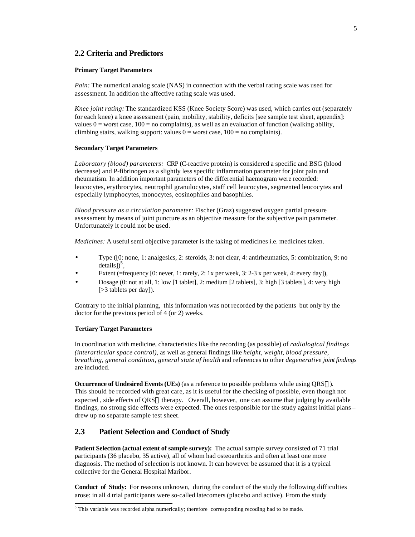### **2.2 Criteria and Predictors**

#### **Primary Target Parameters**

*Pain:* The numerical analog scale (NAS) in connection with the verbal rating scale was used for assessment. In addition the affective rating scale was used.

*Knee joint rating:* The standardized KSS (Knee Society Score) was used, which carries out (separately for each knee) a knee assessment (pain, mobility, stability, deficits [see sample test sheet, appendix]: values  $0 =$  worst case,  $100 =$  no complaints), as well as an evaluation of function (walking ability, climbing stairs, walking support: values  $0 =$  worst case,  $100 =$  no complaints).

#### **Secondary Target Parameters**

*Laboratory (blood) parameters:* CRP (C-reactive protein) is considered a specific and BSG (blood decrease) and P-fibrinogen as a slightly less specific inflammation parameter for joint pain and rheumatism. In addition important parameters of the differential haemogram were recorded: leucocytes, erythrocytes, neutrophil granulocytes, staff cell leucocytes, segmented leucocytes and especially lymphocytes, monocytes, eosinophiles and basophiles.

*Blood pressure as a circulation parameter:* Fischer (Graz) suggested oxygen partial pressure assessment by means of joint puncture as an objective measure for the subjective pain parameter. Unfortunately it could not be used.

*Medicines:* A useful semi objective parameter is the taking of medicines i.e. medicines taken.

- Type ([0: none, 1: analgesics, 2: steroids, 3: not clear, 4: antirheumatics, 5: combination, 9: no  $\details])^5$ ,
- Extent (=frequency  $[0: \text{never}, 1: \text{rarely}, 2: 1x \text{ per week}, 3: 2-3x \text{ per week}, 4: \text{every day}]),$
- Dosage (0: not at all, 1: low [1 tablet], 2: medium [2 tablets], 3: high [3 tablets], 4: very high [ $>$ 3 tablets per day]).

Contrary to the initial planning, this information was not recorded by the patients but only by the doctor for the previous period of 4 (or 2) weeks.

#### **Tertiary Target Parameters**

In coordination with medicine, characteristics like the recording (as possible) of *radiological findings (interarticular space control),* as well as general findings like *height, weight, blood pressure*, *breathing, general condition, general state of health* and references to other *degenerative joint findings*  are included.

**Occurrence of Undesired Events (UEs)** (as a reference to possible problems while using QRS®). This should be recorded with great care, as it is useful for the checking of possible, even though not expected, side effects of QRS $\circledast$  therapy. Overall, however, one can assume that judging by available findings, no strong side effects were expected. The ones responsible for the study against initial plans – drew up no separate sample test sheet.

#### **2.3 Patient Selection and Conduct of Study**

**Patient Selection (actual extent of sample survey):** The actual sample survey consisted of 71 trial participants (36 placebo, 35 active), all of whom had osteoarthritis and often at least one more diagnosis. The method of selection is not known. It can however be assumed that it is a typical collective for the General Hospital Maribor.

**Conduct of Study:** For reasons unknown, during the conduct of the study the following difficulties arose: in all 4 trial participants were so-called latecomers (placebo and active). From the study

<sup>&</sup>lt;sup>5</sup> This variable was recorded alpha numerically; therefore corresponding recoding had to be made.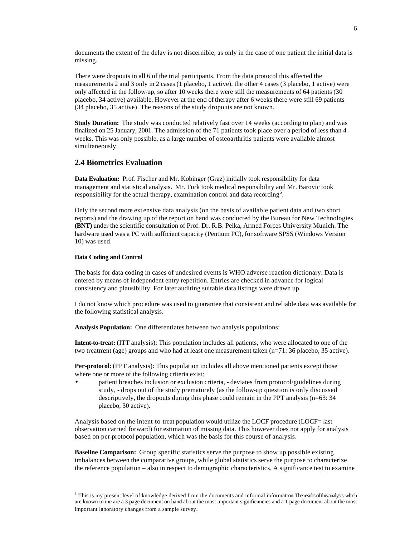documents the extent of the delay is not discernible, as only in the case of one patient the initial data is missing.

There were dropouts in all 6 of the trial participants. From the data protocol this affected the measurements 2 and 3 only in 2 cases (1 placebo, 1 active), the other 4 cases (3 placebo, 1 active) were only affected in the follow-up, so after 10 weeks there were still the measurements of 64 patients (30 placebo, 34 active) available. However at the end of therapy after 6 weeks there were still 69 patients (34 placebo, 35 active). The reasons of the study dropouts are not known.

**Study Duration:** The study was conducted relatively fast over 14 weeks (according to plan) and was finalized on 25 January, 2001. The admission of the 71 patients took place over a period of less than 4 weeks. This was only possible, as a large number of osteoarthritis patients were available almost simultaneously.

### **2.4 Biometrics Evaluation**

**Data Evaluation:** Prof. Fischer and Mr. Kobinger (Graz) initially took responsibility for data management and statistical analysis. Mr. Turk took medical responsibility and Mr. Barovic took responsibility for the actual therapy, examination control and data recording<sup>6</sup>.

Only the second more ext ensive data analysis (on the basis of available patient data and two short reports) and the drawing up of the report on hand was conducted by the Bureau for New Technologies **(BNT)** under the scientific consultation of Prof. Dr. R.B. Pelka, Armed Forces University Munich. The hardware used was a PC with sufficient capacity (Pentium PC), for software SPSS (Windows Version 10) was used.

#### **Data Coding and Control**

The basis for data coding in cases of undesired events is WHO adverse reaction dictionary. Data is entered by means of independent entry repetition. Entries are checked in advance for logical consistency and plausibility. For later auditing suitable data listings were drawn up.

I do not know which procedure was used to guarantee that consistent and reliable data was available for the following statistical analysis.

**Analysis Population:** One differentiates between two analysis populations:

**Intent-to-treat:** (ITT analysis): This population includes all patients, who were allocated to one of the two treatment (age) groups and who had at least one measurement taken (n=71: 36 placebo, 35 active).

**Per-protocol:** (PPT analysis): This population includes all above mentioned patients except those where one or more of the following criteria exist:

• patient breaches inclusion or exclusion criteria, - deviates from protocol/guidelines during study, - drops out of the study prematurely (as the follow-up question is only discussed descriptively, the dropouts during this phase could remain in the PPT analysis (n=63: 34 placebo, 30 active).

Analysis based on the intent-to-treat population would utilize the LOCF procedure (LOCF= last observation carried forward) for estimation of missing data. This however does not apply for analysis based on per-protocol population, which was the basis for this course of analysis.

**Baseline Comparison:** Group specific statistics serve the purpose to show up possible existing imbalances between the comparative groups, while global statistics serve the purpose to characterize the reference population – also in respect to demographic characteristics. A significance test to examine

<sup>&</sup>lt;sup>6</sup> This is my present level of knowledge derived from the documents and informal information. The results of this analysis, which are known to me are a 3 page document on hand about the most important significancies and a 1 page document about the most important laboratory changes from a sample survey.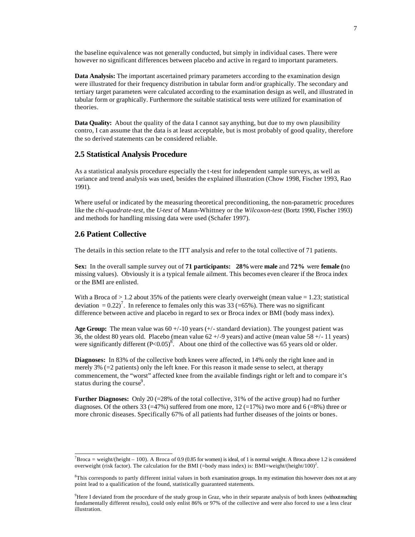the baseline equivalence was not generally conducted, but simply in individual cases. There were however no significant differences between placebo and active in regard to important parameters.

**Data Analysis:** The important ascertained primary parameters according to the examination design were illustrated for their frequency distribution in tabular form and/or graphically. The secondary and tertiary target parameters were calculated according to the examination design as well, and illustrated in tabular form or graphically. Furthermore the suitable statistical tests were utilized for examination of theories.

**Data Quality:** About the quality of the data I cannot say anything, but due to my own plausibility contro, I can assume that the data is at least acceptable, but is most probably of good quality, therefore the so derived statements can be considered reliable.

### **2.5 Statistical Analysis Procedure**

As a statistical analysis procedure especially the t-test for independent sample surveys, as well as variance and trend analysis was used, besides the explained illustration (Chow 1998, Fischer 1993, Rao 1991).

Where useful or indicated by the measuring theoretical preconditioning, the non-parametric procedures like the *chi-quadrate-test,* the *U-test* of Mann-Whittney or the *Wilcoxon-test* (Bortz 1990, Fischer 1993) and methods for handling missing data were used (Schafer 1997).

### **2.6 Patient Collective**

l

The details in this section relate to the ITT analysis and refer to the total collective of 71 patients.

**Sex:** In the overall sample survey out of **71 participants: 28%** were **male** and **72%** were **female (**no missing values). Obviously it is a typical female ailment. This becomes even clearer if the Broca index or the BMI are enlisted.

With a Broca of  $> 1.2$  about 35% of the patients were clearly overweight (mean value = 1.23; statistical deviation =  $0.22$ <sup>7</sup>. In reference to females only this was 33 (=65%). There was no significant difference between active and placebo in regard to sex or Broca index or BMI (body mass index).

Age Group: The mean value was  $60 + (-10)$  years  $(+)$  standard deviation). The youngest patient was 36, the oldest 80 years old. Placebo (mean value 62 +/-9 years) and active (mean value 58 +/- 11 years) were significantly different  $(P<0.05)^8$ . About one third of the collective was 65 years old or older.

**Diagnoses:** In 83% of the collective both knees were affected, in 14% only the right knee and in merely 3% (=2 patients) only the left knee. For this reason it made sense to select, at therapy commencement, the "worst" affected knee from the available findings right or left and to compare it's status during the course<sup>9</sup>.

**Further Diagnoses:** Only 20 (=28% of the total collective, 31% of the active group) had no further diagnoses. Of the others 33 (=47%) suffered from one more, 12 (=17%) two more and 6 (=8%) three or more chronic diseases. Specifically 67% of all patients had further diseases of the joints or bones.

 ${}^{7}$ Broca = weight/(height – 100). A Broca of 0.9 (0.85 for women) is ideal, of 1 is normal weight. A Broca above 1.2 is considered overweight (risk factor). The calculation for the BMI (=body mass index) is: BMI=weight/(height/100)<sup>2</sup>.

<sup>&</sup>lt;sup>8</sup>This corresponds to partly different initial values in both examination groups. In my estimation this however does not at any point lead to a qualification of the found, statistically guaranteed statements.

<sup>&</sup>lt;sup>9</sup>Here I deviated from the procedure of the study group in Graz, who in their separate analysis of both knees (without reaching fundamentally different results), could only enlist 86% or 97% of the collective and were also forced to use a less clear illustration.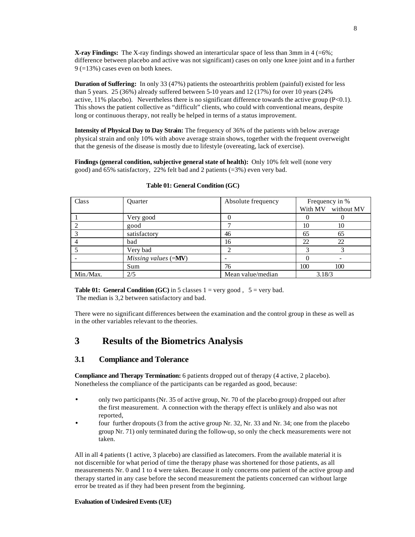**X-ray Findings:** The X-ray findings showed an interarticular space of less than 3mm in 4 (=6%; difference between placebo and active was not significant) cases on only one knee joint and in a further 9 (=13%) cases even on both knees.

**Duration of Suffering:** In only 33 (47%) patients the osteoarthritis problem (painful) existed for less than 5 years. 25 (36%) already suffered between 5-10 years and 12 (17%) for over 10 years (24% active,  $11\%$  placebo). Nevertheless there is no significant difference towards the active group (P<0.1). This shows the patient collective as "difficult" clients, who could with conventional means, despite long or continuous therapy, not really be helped in terms of a status improvement.

**Intensity of Physical Day to Day Strain:** The frequency of 36% of the patients with below average physical strain and only 10% with above average strain shows, together with the frequent overweight that the genesis of the disease is mostly due to lifestyle (overeating, lack of exercise).

**Findings (general condition, subjective general state of health):** Only 10% felt well (none very good) and 65% satisfactory, 22% felt bad and 2 patients (=3%) even very bad.

| Class     | Quarter                      | Absolute frequency | Frequency in % |                    |
|-----------|------------------------------|--------------------|----------------|--------------------|
|           |                              |                    |                | With MV without MV |
|           | Very good                    |                    |                |                    |
|           | good                         |                    | 10             | 10                 |
|           | satisfactory                 | 46                 | 65             | 65                 |
|           | bad                          | 16                 | 22             | 22                 |
|           | Very bad                     |                    |                | 3                  |
|           | Missing values $(=\!\!M\!V)$ | -                  |                |                    |
|           | Sum                          | 76                 | 100            | 100                |
| Min./Max. | 2/5                          | Mean value/median  | 3.18/3         |                    |

#### **Table 01: General Condition (GC)**

**Table 01: General Condition (GC) in 5 classes**  $1 = \text{very good}$ **,**  $5 = \text{very bad}$ **.** The median is 3,2 between satisfactory and bad.

There were no significant differences between the examination and the control group in these as well as in the other variables relevant to the theories.

## **3 Results of the Biometrics Analysis**

### **3.1 Compliance and Tolerance**

**Compliance and Therapy Termination:** 6 patients dropped out of therapy (4 active, 2 placebo). Nonetheless the compliance of the participants can be regarded as good, because:

- only two participants (Nr. 35 of active group, Nr. 70 of the placebo group) dropped out after the first measurement. A connection with the therapy effect is unlikely and also was not reported,
- four further dropouts (3 from the active group Nr. 32, Nr. 33 and Nr. 34; one from the placebo group Nr. 71) only terminated during the follow-up, so only the check measurements were not taken.

All in all 4 patients (1 active, 3 placebo) are classified as latecomers. From the available material it is not discernible for what period of time the therapy phase was shortened for those patients, as all measurements Nr. 0 and 1 to 4 were taken. Because it only concerns one patient of the active group and therapy started in any case before the second measurement the patients concerned can without large error be treated as if they had been present from the beginning.

#### **Evaluation of Undesired Events (UE)**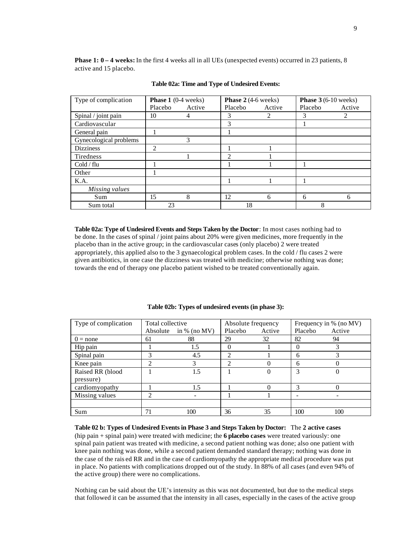**Phase 1: 0 – 4 weeks:** In the first 4 weeks all in all UEs (unexpected events) occurred in 23 patients, 8 active and 15 placebo.

| Type of complication   | <b>Phase 1</b> $(0-4 \text{ weeks})$ |        | <b>Phase 2</b> $(4-6$ weeks) |        | <b>Phase 3</b> $(6-10$ weeks) |        |
|------------------------|--------------------------------------|--------|------------------------------|--------|-------------------------------|--------|
|                        | Placebo                              | Active | Placebo                      | Active | Placebo                       | Active |
| Spinal / joint pain    | 10                                   | 4      | 3                            | 2      | 3                             | 2      |
| Cardiovascular         |                                      |        | 3                            |        |                               |        |
| General pain           |                                      |        |                              |        |                               |        |
| Gynecological problems |                                      | 3      |                              |        |                               |        |
| <b>Dizziness</b>       | 2                                    |        |                              |        |                               |        |
| Tiredness              |                                      |        | $\overline{c}$               |        |                               |        |
| Cold / flu             |                                      |        |                              |        |                               |        |
| Other                  |                                      |        |                              |        |                               |        |
| K.A.                   |                                      |        |                              |        |                               |        |
| Missing values         |                                      |        |                              |        |                               |        |
| Sum                    | 15                                   | 8      | 12                           | 6      | 6                             | 6      |
| Sum total              | 23                                   |        | 18                           |        | Ω                             |        |

#### **Table 02a: Time and Type of Undesired Events:**

**Table 02a: Type of Undesired Events and Steps Taken by the Doctor**: In most cases nothing had to be done. In the cases of spinal / joint pains about 20% were given medicines, more frequently in the placebo than in the active group; in the cardiovascular cases (only placebo) 2 were treated appropriately, this applied also to the 3 gynaecological problem cases. In the cold / flu cases 2 were given antibiotics, in one case the dizziness was treated with medicine; otherwise nothing was done; towards the end of therapy one placebo patient wished to be treated conventionally again.

| Type of complication | Total collective |              | Absolute frequency |        | Frequency in % (no MV) |        |
|----------------------|------------------|--------------|--------------------|--------|------------------------|--------|
|                      | Absolute         | in % (no MV) | Placebo            | Active | Placebo                | Active |
| $0 = none$           | 61               | 88           | 29                 | 32     | 82                     | 94     |
| Hip pain             |                  | 1.5          | 0                  |        | 0                      |        |
| Spinal pain          |                  | 4.5          | $\mathfrak{D}$     |        | 6                      |        |
| Knee pain            | ∍                | 3            | っ                  |        | 6                      |        |
| Raised RR (blood     |                  | 1.5          |                    |        | 3                      |        |
| pressure)            |                  |              |                    |        |                        |        |
| cardiomyopathy       |                  | 1.5          |                    |        |                        |        |
| Missing values       | ∍                |              |                    |        |                        |        |
|                      |                  |              |                    |        |                        |        |
| Sum                  | 71               | 100          | 36                 | 35     | 100                    | 100    |

#### **Table 02b: Types of undesired events (in phase 3):**

**Table 02 b: Types of Undesired Events in Phase 3 and Steps Taken by Doctor:** The **2 active cases**  (hip pain + spinal pain) were treated with medicine; the **6 placebo cases** were treated variously: one spinal pain patient was treated with medicine, a second patient nothing was done; also one patient with knee pain nothing was done, while a second patient demanded standard therapy; nothing was done in the case of the rais ed RR and in the case of cardiomyopathy the appropriate medical procedure was put in place. No patients with complications dropped out of the study. In 88% of all cases (and even 94% of the active group) there were no complications.

Nothing can be said about the UE's intensity as this was not documented, but due to the medical steps that followed it can be assumed that the intensity in all cases, especially in the cases of the active group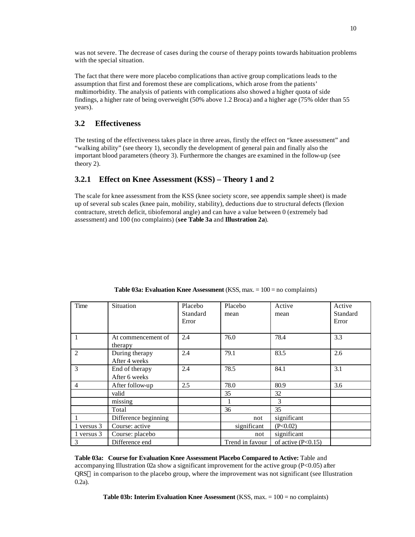was not severe. The decrease of cases during the course of therapy points towards habituation problems with the special situation.

The fact that there were more placebo complications than active group complications leads to the assumption that first and foremost these are complications, which arose from the patients' multimorbidity. The analysis of patients with complications also showed a higher quota of side findings, a higher rate of being overweight (50% above 1.2 Broca) and a higher age (75% older than 55 years).

### **3.2 Effectiveness**

The testing of the effectiveness takes place in three areas, firstly the effect on "knee assessment" and "walking ability" (see theory 1), secondly the development of general pain and finally also the important blood parameters (theory 3). Furthermore the changes are examined in the follow-up (see theory 2).

### **3.2.1 Effect on Knee Assessment (KSS) – Theory 1 and 2**

The scale for knee assessment from the KSS (knee society score, see appendix sample sheet) is made up of several sub scales (knee pain, mobility, stability), deductions due to structural defects (flexion contracture, stretch deficit, tibiofemoral angle) and can have a value between 0 (extremely bad assessment) and 100 (no complaints) (**see Table 3a** and **Illustration 2a**).

| Time           | Situation                       | Placebo<br>Standard<br>Error | Placebo<br>mean | Active<br>mean       | Active<br>Standard<br>Error |
|----------------|---------------------------------|------------------------------|-----------------|----------------------|-----------------------------|
| $\mathbf{1}$   | At commencement of<br>therapy   | 2.4                          | 76.0            | 78.4                 | 3.3                         |
| 2              | During therapy<br>After 4 weeks | 2.4                          | 79.1            | 83.5                 | 2.6                         |
| 3              | End of therapy<br>After 6 weeks | 2.4                          | 78.5            | 84.1                 | 3.1                         |
| $\overline{4}$ | After follow-up                 | 2.5                          | 78.0            | 80.9                 | 3.6                         |
|                | valid                           |                              | 35              | 32                   |                             |
|                | missing                         |                              |                 | 3                    |                             |
|                | Total                           |                              | 36              | 35                   |                             |
|                | Difference beginning            |                              | not             | significant          |                             |
| 1 versus 3     | Course: active                  |                              | significant     | (P<0.02)             |                             |
| 1 versus 3     | Course: placebo                 |                              | not             | significant          |                             |
| 3              | Difference end                  |                              | Trend in favour | of active $(P<0.15)$ |                             |

**Table 03a: Evaluation Knee Assessment** (KSS, max. = 100 = no complaints)

**Table 03a: Course for Evaluation Knee Assessment Placebo Compared to Active:** Table and accompanying Illustration 02a show a significant improvement for the active group (P<0.05) after QRS in comparison to the placebo group, where the improvement was not significant (see Illustration 0.2a).

**Table 03b: Interim Evaluation Knee Assessment** (KSS, max. = 100 = no complaints)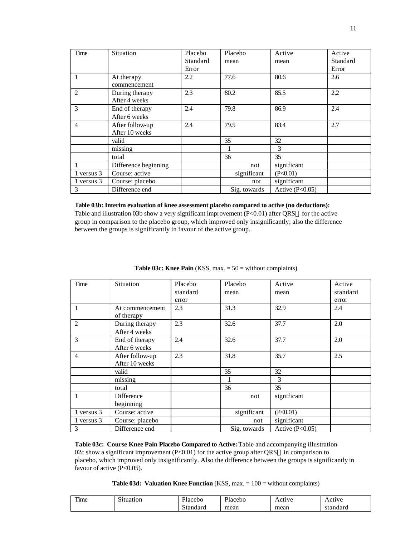| Time           | Situation            | Placebo  | Placebo      | Active            | Active   |
|----------------|----------------------|----------|--------------|-------------------|----------|
|                |                      | Standard | mean         | mean              | Standard |
|                |                      | Error    |              |                   | Error    |
|                | At therapy           | 2.2      | 77.6         | 80.6              | 2.6      |
|                | commencement         |          |              |                   |          |
| 2              | During therapy       | 2.3      | 80.2         | 85.5              | 2.2      |
|                | After 4 weeks        |          |              |                   |          |
| 3              | End of therapy       | 2.4      | 79.8         | 86.9              | 2.4      |
|                | After 6 weeks        |          |              |                   |          |
| $\overline{4}$ | After follow-up      | 2.4      | 79.5         | 83.4              | 2.7      |
|                | After 10 weeks       |          |              |                   |          |
|                | valid                |          | 35           | 32                |          |
|                | missing              |          |              | 3                 |          |
|                | total                |          | 36           | 35                |          |
|                | Difference beginning |          | not          | significant       |          |
| 1 versus 3     | Course: active       |          | significant  | (P<0.01)          |          |
| 1 versus 3     | Course: placebo      |          | not          | significant       |          |
| 3              | Difference end       |          | Sig. towards | Active $(P<0.05)$ |          |

#### **Table 03b: Interim evaluation of knee assessment placebo compared to active (no deductions):**

Table and illustration 03b show a very significant improvement (P<0.01) after QRS $\circledcirc$  for the active group in comparison to the placebo group, which improved only insignificantly; also the difference between the groups is significantly in favour of the active group.

| Time           | Situation                         | Placebo  | Placebo      | Active            | Active   |
|----------------|-----------------------------------|----------|--------------|-------------------|----------|
|                |                                   | standard | mean         | mean              | standard |
|                |                                   | error    |              |                   | error    |
| $\mathbf{1}$   | At commencement<br>of therapy     | 2.3      | 31.3         | 32.9              | 2.4      |
| $\overline{2}$ | During therapy<br>After 4 weeks   | 2.3      | 32.6         | 37.7              | 2.0      |
| 3              | End of therapy<br>After 6 weeks   | 2.4      | 32.6         | 37.7              | 2.0      |
| $\overline{4}$ | After follow-up<br>After 10 weeks | 2.3      | 31.8         | 35.7              | 2.5      |
|                | valid                             |          | 35           | 32                |          |
|                | missing                           |          |              | 3                 |          |
|                | total                             |          | 36           | 35                |          |
| 1              | Difference                        |          | not          | significant       |          |
|                | beginning                         |          |              |                   |          |
| 1 versus 3     | Course: active                    |          | significant  | (P<0.01)          |          |
| 1 versus 3     | Course: placebo                   |          | not          | significant       |          |
| 3              | Difference end                    |          | Sig. towards | Active $(P<0.05)$ |          |

**Table 03c: Knee Pain** (KSS, max. = 50 = without complaints)

**Table 03c: Course Knee Pain Placebo Compared to Active:** Table and accompanying illustration 02c show a significant improvement  $(P<0.01)$  for the active group after QRS $\circledR$  in comparison to placebo, which improved only insignificantly. Also the difference between the groups is significantly in favour of active (P<0.05).

**Table 03d: Valuation Knee Function** (KSS, max. = 100 = without complaints)

| m<br>11me | $\sim$<br>Situation | Placebo  | Placebo | Active | Active   |
|-----------|---------------------|----------|---------|--------|----------|
|           |                     | Standard | mean    | mean   | standard |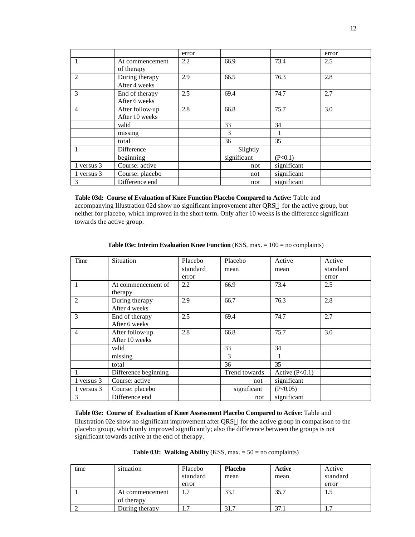|                |                                   | error |             |             | error |
|----------------|-----------------------------------|-------|-------------|-------------|-------|
|                | At commencement<br>of therapy     | 2.2   | 66.9        | 73.4        | 2.5   |
| 2              | During therapy<br>After 4 weeks   | 2.9   | 66.5        | 76.3        | 2.8   |
| 3              | End of therapy<br>After 6 weeks   | 2.5   | 69.4        | 74.7        | 2.7   |
| $\overline{4}$ | After follow-up<br>After 10 weeks | 2.8   | 66.8        | 75.7        | 3.0   |
|                | valid                             |       | 33          | 34          |       |
|                | missing                           |       | 3           |             |       |
|                | total                             |       | 36          | 35          |       |
|                | Difference                        |       | Slightly    |             |       |
|                | beginning                         |       | significant | (P<0.1)     |       |
| 1 versus 3     | Course: active                    |       | not         | significant |       |
| 1 versus 3     | Course: placebo                   |       | not         | significant |       |
| 3              | Difference end                    |       | not         | significant |       |

**Table 03d: Course of Evaluation of Knee Function Placebo Compared to Active:** Table and accompanying Illustration 02d show no significant improvement after QRS® for the active group, but neither for placebo, which improved in the short term. Only after 10 weeks is the difference significant towards the active group.

| Time           | Situation            | Placebo  | Placebo       | Active           | Active   |
|----------------|----------------------|----------|---------------|------------------|----------|
|                |                      | standard | mean          | mean             | standard |
|                |                      | error    |               |                  | error    |
|                | At commencement of   | 2.2      | 66.9          | 73.4             | 2.5      |
|                | therapy              |          |               |                  |          |
| $\overline{2}$ | During therapy       | 2.9      | 66.7          | 76.3             | 2.8      |
|                | After 4 weeks        |          |               |                  |          |
| 3              | End of therapy       | 2.5      | 69.4          | 74.7             | 2.7      |
|                | After 6 weeks        |          |               |                  |          |
| $\overline{4}$ | After follow-up      | 2.8      | 66.8          | 75.7             | 3.0      |
|                | After 10 weeks       |          |               |                  |          |
|                | valid                |          | 33            | 34               |          |
|                | missing              |          | 3             |                  |          |
|                | total                |          | 36            | 35               |          |
|                | Difference beginning |          | Trend towards | Active $(P<0.1)$ |          |
| 1 versus 3     | Course: active       |          | not           | significant      |          |
| 1 versus 3     | Course: placebo      |          | significant   | (P<0.05)         |          |
| 3              | Difference end       |          | not           | significant      |          |

**Table 03e: Interim Evaluation Knee Function** (KSS, max. = 100 = no complaints)

**Table 03e: Course of Evaluation of Knee Assessment Placebo Compared to Active:** Table and Illustration 02e show no significant improvement after QRS® for the active group in comparison to the placebo group, which only improved significantly; also the difference between the groups is not significant towards active at the end of therapy.

|  | <b>Table 03f: Walking Ability</b> (KSS, max. $= 50$ = no complaints) |  |  |
|--|----------------------------------------------------------------------|--|--|
|--|----------------------------------------------------------------------|--|--|

| time | situation       | Placebo<br>standard | <b>Placebo</b><br>mean | Active<br>mean | Active<br>standard |
|------|-----------------|---------------------|------------------------|----------------|--------------------|
|      |                 | error               |                        |                | error              |
|      | At commencement | -<br>Ι.,            | 33.1                   | 35.7           | L.J                |
|      | of therapy      |                     |                        |                |                    |
|      | During therapy  |                     | 31.7                   | 37.1           |                    |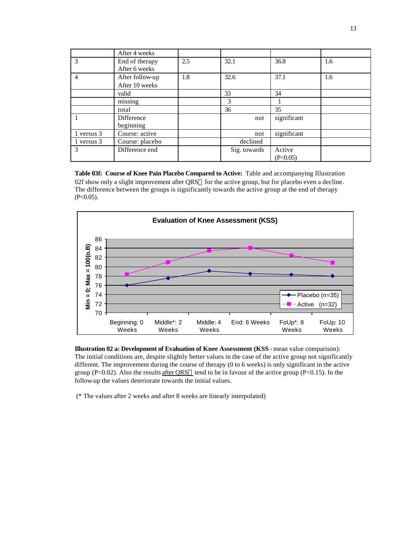|            | After 4 weeks   |     |              |             |     |
|------------|-----------------|-----|--------------|-------------|-----|
| 3          | End of therapy  | 2.5 | 32.1         | 36.8        | 1.6 |
|            | After 6 weeks   |     |              |             |     |
| 4          | After follow-up | 1.8 | 32.6         | 37.1        | 1.6 |
|            | After 10 weeks  |     |              |             |     |
|            | valid           |     | 33           | 34          |     |
|            | missing         |     | 3            |             |     |
|            | total           |     | 36           | 35          |     |
|            | Difference      |     | not          | significant |     |
|            | beginning       |     |              |             |     |
| 1 versus 3 | Course: active  |     | not          | significant |     |
| 1 versus 3 | Course: placebo |     | declined     |             |     |
| 3          | Difference end  |     | Sig. towards | Active      |     |
|            |                 |     |              | (P<0.05)    |     |

**Table 03f: Course of Knee Pain Placebo Compared to Active:** Table and accompanying Illustration 02f show only a slight improvement after QRS® for the active group, but for placebo even a decline. The difference between the groups is significantly towards the active group at the end of therapy  $(P<0.05)$ .



**Illustration 02 a: Development of Evaluation of Knee Assessment (KSS** - mean value comparison): The initial conditions are, despite slightly better values in the case of the active group not significantly different. The improvement during the course of therapy (0 to 6 weeks) is only significant in the active group (P<0.02). Also the results after  $QRS@$  tend to be in favour of the active group (P<0.15). In the follow-up the values deteriorate towards the initial values.

(\* The values after 2 weeks and after 8 weeks are linearly interpolated)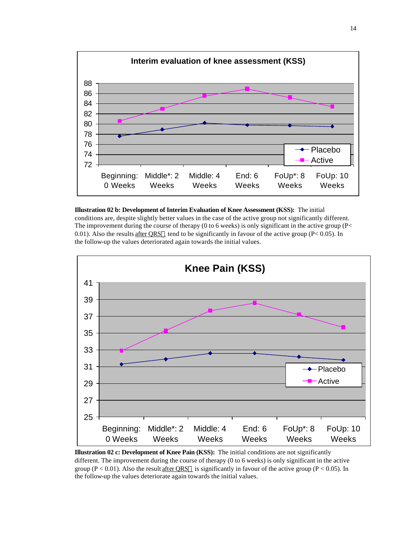





**Illustration 02 c: Development of Knee Pain (KSS):** The initial conditions are not significantly different. The improvement during the course of therapy (0 to 6 weeks) is only significant in the active group ( $P < 0.01$ ). Also the result after QRS® is significantly in favour of the active group ( $P < 0.05$ ). In the follow-up the values deteriorate again towards the initial values.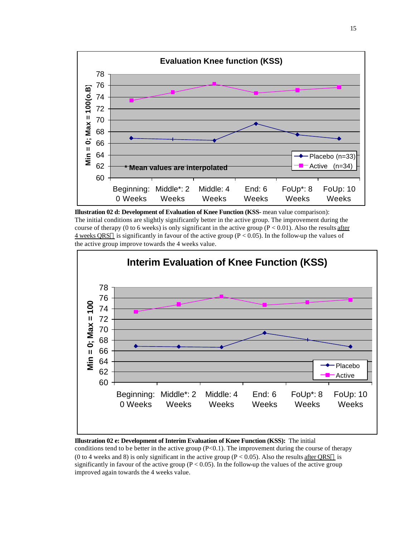





#### **Illustration 02 e: Development of Interim Evaluation of Knee Function (KSS):** The initial

conditions tend to be better in the active group  $(P<0.1)$ . The improvement during the course of therapy (0 to 4 weeks and 8) is only significant in the active group ( $P < 0.05$ ). Also the results after QRS $\circledcirc$  is significantly in favour of the active group ( $P < 0.05$ ). In the follow-up the values of the active group improved again towards the 4 weeks value.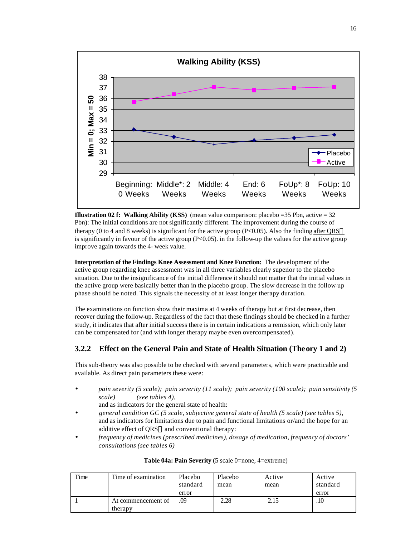

**Illustration 02 f: Walking Ability (KSS)** (mean value comparison: placebo =35 Pbn, active = 32 Pbn): The initial conditions are not significantly different. The improvement during the course of therapy (0 to 4 and 8 weeks) is significant for the active group (P<0.05). Also the finding after QRS $\circledR$ is significantly in favour of the active group  $(P<0.05)$ . in the follow-up the values for the active group improve again towards the 4- week value.

**Interpretation of the Findings Knee Assessment and Knee Function:** The development of the active group regarding knee assessment was in all three variables clearly superior to the placebo situation. Due to the insignificance of the initial difference it should not matter that the initial values in the active group were basically better than in the placebo group. The slow decrease in the follow-up phase should be noted. This signals the necessity of at least longer therapy duration.

The examinations on function show their maxima at 4 weeks of therapy but at first decrease, then recover during the follow-up. Regardless of the fact that these findings should be checked in a further study, it indicates that after initial success there is in certain indications a remission, which only later can be compensated for (and with longer therapy maybe even overcompensated).

## **3.2.2 Effect on the General Pain and State of Health Situation (Theory 1 and 2)**

This sub-theory was also possible to be checked with several parameters, which were practicable and available. As direct pain parameters these were:

- *pain severity (5 scale); pain severity (11 scale); pain severity (100 scale); pain sensitivity (5 scale) (see tables 4),*
	- and as indicators for the general state of health: • *general condition GC (5 scale, subjective general state of health (5 scale) (see tables 5),*
- and as indicators for limitations due to pain and functional limitations or/and the hope for an additive effect of QRS® and conventional therapy:
- *frequency of medicines (prescribed medicines), dosage of medication, frequency of doctors' consultations (see tables 6)*

| Time | Time of examination           | Placebo<br>standard | Placebo<br>mean | Active<br>mean | Active<br>standard |
|------|-------------------------------|---------------------|-----------------|----------------|--------------------|
|      |                               | error               |                 |                | error              |
|      | At commencement of<br>therapy | .09                 | 2.28            | 2.15           | .10                |

### **Table 04a: Pain Severity** (5 scale 0=none, 4=extreme)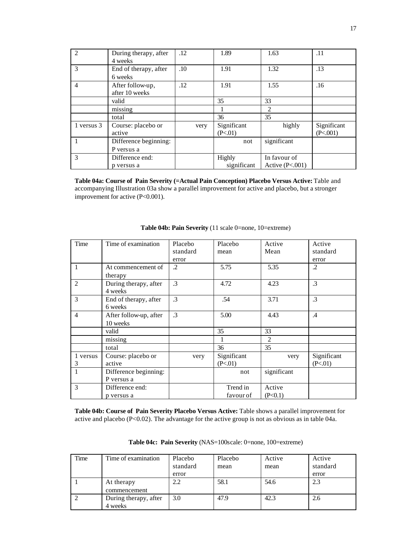| 2              | During therapy, after<br>4 weeks   | .12  | 1.89                   | 1.63                              | .11                     |
|----------------|------------------------------------|------|------------------------|-----------------------------------|-------------------------|
| 3              | End of therapy, after<br>6 weeks   | .10  | 1.91                   | 1.32                              | .13                     |
| $\overline{4}$ | After follow-up,<br>after 10 weeks | .12  | 1.91                   | 1.55                              | .16                     |
|                | valid                              |      | 35                     | 33                                |                         |
|                | $\overline{\text{missing}}$        |      |                        | 2                                 |                         |
|                | total                              |      | 36                     | 35                                |                         |
| 1 versus 3     | Course: placebo or<br>active       | very | Significant<br>(P<.01) | highly                            | Significant<br>(P<.001) |
|                | Difference beginning:              |      | not                    | significant                       |                         |
|                | P versus a                         |      |                        |                                   |                         |
| 3              | Difference end:<br>p versus a      |      | Highly<br>significant  | In favour of<br>Active $(P<.001)$ |                         |

**Table 04a: Course of Pain Severity (=Actual Pain Conception) Placebo Versus Active:** Table and accompanying Illustration 03a show a parallel improvement for active and placebo, but a stronger improvement for active (P<0.001).

| Time           | Time of examination    | Placebo       | Placebo     | Active         | Active          |
|----------------|------------------------|---------------|-------------|----------------|-----------------|
|                |                        | standard      | mean        | Mean           | standard        |
|                |                        | error         |             |                | error           |
| 1              | At commencement of     | $\cdot$       | 5.75        | 5.35           | $\cdot$         |
|                | therapy                |               |             |                |                 |
| $\mathfrak{D}$ | During therapy, after  | $\cdot$ 3     | 4.72        | 4.23           | .3              |
|                | 4 weeks                |               |             |                |                 |
| 3              | End of therapy, after  | $\mathcal{A}$ | .54         | 3.71           | .3              |
|                | 6 weeks                |               |             |                |                 |
| $\overline{4}$ | After follow-up, after | $\cdot$ 3     | 5.00        | 4.43           | $.4\phantom{0}$ |
|                | 10 weeks               |               |             |                |                 |
|                | valid                  |               | 35          | 33             |                 |
|                | missing                |               |             | $\overline{2}$ |                 |
|                | total                  |               | 36          | 35             |                 |
| 1 versus       | Course: placebo or     | very          | Significant | very           | Significant     |
| 3              | active                 |               | (P<.01)     |                | (P<.01)         |
| 1              | Difference beginning:  |               | not         | significant    |                 |
|                | P versus a             |               |             |                |                 |
| 3              | Difference end:        |               | Trend in    | Active         |                 |
|                | p versus a             |               | favour of   | (P<0.1)        |                 |

#### **Table 04b: Pain Severity** (11 scale 0=none, 10=extreme)

**Table 04b: Course of Pain Severity Placebo Versus Active:** Table shows a parallel improvement for active and placebo (P<0.02). The advantage for the active group is not as obvious as in table 04a.

| Time | Time of examination   | Placebo  | Placebo | Active | Active   |
|------|-----------------------|----------|---------|--------|----------|
|      |                       | standard | mean    | mean   | standard |
|      |                       | error    |         |        | error    |
|      | At therapy            | 2.2      | 58.1    | 54.6   | 2.3      |
|      | commencement          |          |         |        |          |
|      | During therapy, after | 3.0      | 47.9    | 42.3   | 2.6      |
|      | 4 weeks               |          |         |        |          |

**Table 04c: Pain Severity** (NAS=100scale: 0=none, 100=extreme)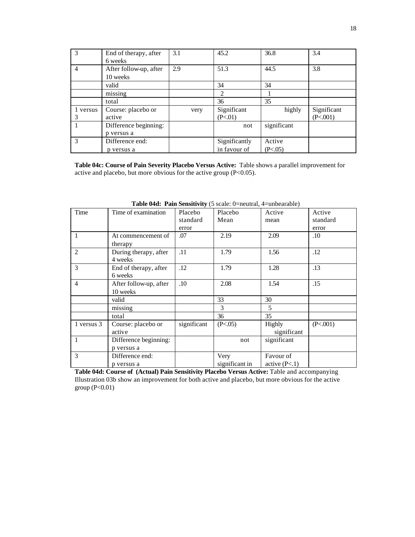|          | End of therapy, after  | 3.1  | 45.2          | 36.8        | 3.4         |
|----------|------------------------|------|---------------|-------------|-------------|
|          | 6 weeks                |      |               |             |             |
| 4        | After follow-up, after | 2.9  | 51.3          | 44.5        | 3.8         |
|          | 10 weeks               |      |               |             |             |
|          | valid                  |      | 34            | 34          |             |
|          | missing                |      | 2             |             |             |
|          | total                  |      | 36            | 35          |             |
| 1 versus | Course: placebo or     | very | Significant   | highly      | Significant |
| 3        | active                 |      | (P<.01)       |             | (P<.001)    |
|          | Difference beginning:  |      | not           | significant |             |
|          | p versus a             |      |               |             |             |
| 3        | Difference end:        |      | Significantly | Active      |             |
|          | p versus a             |      | in favour of  | (P<.05)     |             |

**Table 04c: Course of Pain Severity Placebo Versus Active:** Table shows a parallel improvement for active and placebo, but more obvious for the active group (P<0.05).

| Time                        | Time of examination              | Placebo     | Placebo        | Active          | Active   |
|-----------------------------|----------------------------------|-------------|----------------|-----------------|----------|
|                             |                                  | standard    | Mean           | mean            | standard |
|                             |                                  | error       |                |                 | error    |
| 1                           | At commencement of               | .07         | 2.19           | 2.09            | .10      |
|                             | therapy                          |             |                |                 |          |
| $\mathcal{D}_{\mathcal{L}}$ | During therapy, after<br>4 weeks | .11         | 1.79           | 1.56            | .12      |
| $\mathcal{E}$               | End of therapy, after<br>6 weeks | .12         | 1.79           | 1.28            | .13      |
| $\overline{4}$              | After follow-up, after           | .10         | 2.08           | 1.54            | .15      |
|                             | 10 weeks                         |             |                |                 |          |
|                             | valid                            |             | 33             | 30              |          |
|                             | missing                          |             | $\mathcal{F}$  | 5               |          |
|                             | total                            |             | 36             | 35              |          |
| 1 versus 3                  | Course: placebo or               | significant | (P<.05)        | <b>Highly</b>   | (P<.001) |
|                             | active                           |             |                | significant     |          |
| 1                           | Difference beginning:            |             | not            | significant     |          |
|                             | p versus a                       |             |                |                 |          |
| 3                           | Difference end:                  |             | Very           | Favour of       |          |
|                             | p versus a                       |             | significant in | active $(P<.1)$ |          |

**Table 04d: Pain Sensitivity** (5 scale: 0=neutral, 4=unbearable)

Table 04d: Course of (Actual) Pain Sensitivity Placebo Versus Active: Table and accompanying Illustration 03b show an improvement for both active and placebo, but more obvious for the active group (P<0.01)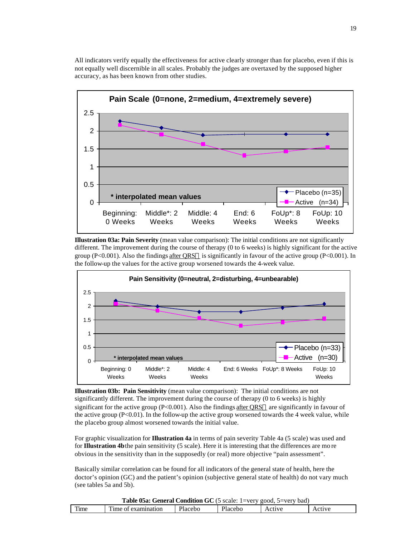

All indicators verify equally the effectiveness for active clearly stronger than for placebo, even if this is not equally well discernible in all scales. Probably the judges are overtaxed by the supposed higher accuracy, as has been known from other studies.

**Illustration 03a: Pain Severity** (mean value comparison): The initial conditions are not significantly different. The improvement during the course of therapy (0 to 6 weeks) is highly significant for the active group (P<0.001). Also the findings after QRS $\odot$  is significantly in favour of the active group (P<0.001). In the follow-up the values for the active group worsened towards the 4-week value.



**Illustration 03b: Pain Sensitivity** (mean value comparison): The initial conditions are not significantly different. The improvement during the course of therapy (0 to 6 weeks) is highly significant for the active group ( $P<0.001$ ). Also the findings after QRS $\circledcirc$  are significantly in favour of the active group  $(P<0.01)$ . In the follow-up the active group worsened towards the 4 week value, while the placebo group almost worsened towards the initial value.

For graphic visualization for **Illustration 4a** in terms of pain severity Table 4a (5 scale) was used and for **Illustration 4b** the pain sensitivity (5 scale). Here it is interesting that the differences are mo re obvious in the sensitivity than in the supposedly (or real) more objective "pain assessment".

Basically similar correlation can be found for all indicators of the general state of health, here the doctor's opinion (GC) and the patient's opinion (subjective general state of health) do not vary much (see tables 5a and 5b).

|      | <b>Table 05a: General Condition GC</b> (5 scale: 1=very good, 5=very bad) |         |         |        |        |  |  |  |  |
|------|---------------------------------------------------------------------------|---------|---------|--------|--------|--|--|--|--|
| Time | Time of examination                                                       | Placebo | Placebo | Active | Active |  |  |  |  |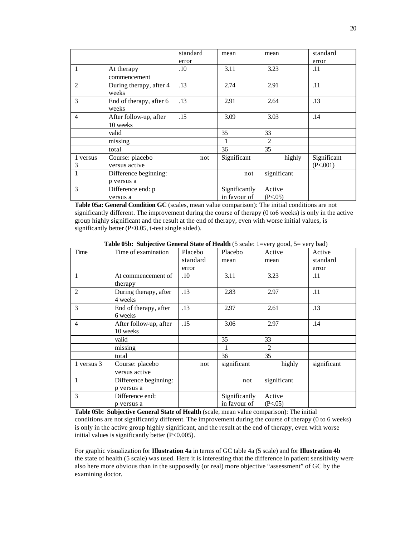|                |                                  | standard | mean          | mean           | standard    |
|----------------|----------------------------------|----------|---------------|----------------|-------------|
|                |                                  | error    |               |                | error       |
| 1              | At therapy                       | $.10\,$  | 3.11          | 3.23           | .11         |
|                | commencement                     |          |               |                |             |
| 2              | During therapy, after 4<br>weeks | .13      | 2.74          | 2.91           | .11         |
| 3              | End of therapy, after 6<br>weeks | .13      | 2.91          | 2.64           | .13         |
| $\overline{4}$ | After follow-up, after           | .15      | 3.09          | 3.03           | .14         |
|                | 10 weeks                         |          |               |                |             |
|                | valid                            |          | 35            | 33             |             |
|                | missing                          |          |               | $\overline{c}$ |             |
|                | total                            |          | 36            | 35             |             |
| 1 versus       | Course: placebo                  | not      | Significant   | highly         | Significant |
| 3              | versus active                    |          |               |                | (P<.001)    |
| 1              | Difference beginning:            |          | not           | significant    |             |
|                | p versus a                       |          |               |                |             |
| 3              | Difference end: p                |          | Significantly | Active         |             |
|                | versus a                         |          | in favour of  | (P<.05)        |             |

**Table 05a: General Condition GC** (scales, mean value comparison): The initial conditions are not significantly different. The improvement during the course of therapy (0 to6 weeks) is only in the active group highly significant and the result at the end of therapy, even with worse initial values, is significantly better (P<0.05, t-test single sided).

| Time           | Time of examination    | Placebo  | Placebo       | Active         | Active      |
|----------------|------------------------|----------|---------------|----------------|-------------|
|                |                        | standard | mean          | mean           | standard    |
|                |                        | error    |               |                | error       |
| $\mathbf{1}$   | At commencement of     | .10      | 3.11          | 3.23           | .11         |
|                | therapy                |          |               |                |             |
| $\overline{2}$ | During therapy, after  | .13      | 2.83          | 2.97           | .11         |
|                | 4 weeks                |          |               |                |             |
| 3              | End of therapy, after  | .13      | 2.97          | 2.61           | .13         |
|                | 6 weeks                |          |               |                |             |
| $\overline{4}$ | After follow-up, after | .15      | 3.06          | 2.97           | .14         |
|                | 10 weeks               |          |               |                |             |
|                | valid                  |          | 35            | 33             |             |
|                | missing                |          |               | $\overline{2}$ |             |
|                | total                  |          | 36            | 35             |             |
| 1 versus 3     | Course: placebo        | not      | significant   | highly         | significant |
|                | versus active          |          |               |                |             |
| $\mathbf{1}$   | Difference beginning:  |          | not           | significant    |             |
|                | p versus a             |          |               |                |             |
| 3              | Difference end:        |          | Significantly | Active         |             |
|                | p versus a             |          | in favour of  | (P<.05)        |             |

**Table 05b: Subjective General State of Health** (5 scale: 1=very good, 5= very bad)

**Table 05b: Subjective General State of Health** (scale, mean value comparison): The initial conditions are not significantly different. The improvement during the course of therapy (0 to 6 weeks) is only in the active group highly significant, and the result at the end of therapy, even with worse initial values is significantly better (P<0.005).

For graphic visualization for **Illustration 4a** in terms of GC table 4a (5 scale) and for **Illustration 4b** the state of health (5 scale) was used. Here it is interesting that the difference in patient sensitivity were also here more obvious than in the supposedly (or real) more objective "assessment" of GC by the examining doctor.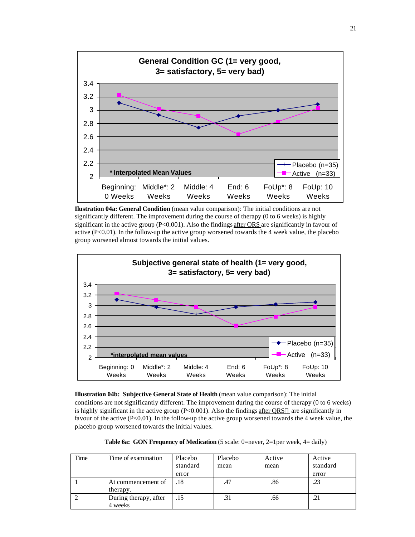

**Ilustration 04a: General Condition** (mean value comparison): The initial conditions are not significantly different. The improvement during the course of therapy (0 to 6 weeks) is highly significant in the active group  $(P<0.001)$ . Also the findings after QRS are significantly in favour of active  $(P<0.01)$ . In the follow-up the active group worsened towards the 4 week value, the placebo group worsened almost towards the initial values.



**Illustration 04b: Subjective General State of Health** (mean value comparison): The initial conditions are not significantly different. The improvement during the course of therapy (0 to 6 weeks) is highly significant in the active group (P<0.001). Also the findings after QRS $\textcircled{a}$  are significantly in favour of the active  $(P<0.01)$ . In the follow-up the active group worsened towards the 4 week value, the placebo group worsened towards the initial values.

**Table 6a: GON Frequency of Medication** (5 scale: 0=never, 2=1per week, 4= daily)

| Time | Time of examination              | Placebo<br>standard<br>error | Placebo<br>mean | Active<br>mean | Active<br>standard<br>error |
|------|----------------------------------|------------------------------|-----------------|----------------|-----------------------------|
|      | At commencement of<br>therapy.   | .18                          | .47             | .86            | .23                         |
|      | During therapy, after<br>4 weeks | .15                          |                 | .66            | .21                         |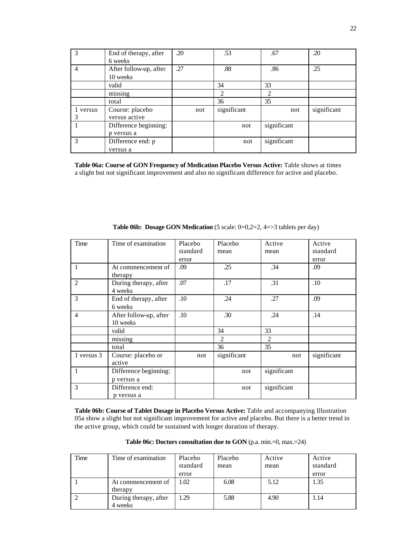| 3              | End of therapy, after<br>6 weeks    | .20 | .53         | .67         | .20         |
|----------------|-------------------------------------|-----|-------------|-------------|-------------|
| $\overline{4}$ | After follow-up, after<br>10 weeks  | .27 | .88         | .86         | .25         |
|                | valid                               |     | 34          | 33          |             |
|                | missing                             |     | 2           | 2           |             |
|                | total                               |     | 36          | 35          |             |
| 1 versus<br>3  | Course: placebo<br>versus active    | not | significant | not         | significant |
|                | Difference beginning:<br>p versus a |     | not         | significant |             |
| $\mathcal{R}$  | Difference end: p                   |     | not         | significant |             |
|                | versus a                            |     |             |             |             |

**Table 06a: Course of GON Frequency of Medication Placebo Versus Active:** Table shows at times a slight but not significant improvement and also no significant difference for active and placebo.

| Time           | Time of examination                | Placebo  | Placebo        | Active      | Active      |
|----------------|------------------------------------|----------|----------------|-------------|-------------|
|                |                                    | standard | mean           | mean        | standard    |
|                |                                    | error    |                |             | error       |
| $\mathbf{1}$   | At commencement of<br>therapy      | .09      | .25            | .34         | .09         |
| 2              | During therapy, after<br>4 weeks   | .07      | .17            | .31         | .10         |
| 3              | End of therapy, after<br>6 weeks   | .10      | .24            | .27         | .09         |
| $\overline{4}$ | After follow-up, after<br>10 weeks | .10      | .30            | .24         | .14         |
|                | valid                              |          | 34             | 33          |             |
|                | missing                            |          | $\mathfrak{D}$ | 2           |             |
|                | total                              |          | 36             | 35          |             |
| 1 versus 3     | Course: placebo or<br>active       | not      | significant    | not         | significant |
| 1              | Difference beginning:              |          | not            | significant |             |
|                | p versus a                         |          |                |             |             |
| 3              | Difference end:<br>p versus a      |          | not            | significant |             |

**Table 06b: Dosage GON Medication** (5 scale: 0=0,2=2, 4=>3 tablets per day)

**Table 06b: Course of Tablet Dosage in Placebo Versus Active:** Table and accompanying Illustration 05a show a slight but not significant improvement for active and placebo. But there is a better trend in the active group, which could be sustained with longer duration of therapy.

**Table 06c: Doctors consultation due to GON** (p.a. min.=0, max.=24)

| Time | Time of examination              | Placebo<br>standard<br>error | Placebo<br>mean | Active<br>mean | Active<br>standard<br>error |
|------|----------------------------------|------------------------------|-----------------|----------------|-----------------------------|
|      | At commencement of<br>therapy    | 1.02.                        | 6.08            | 5.12           | 1.35                        |
|      | During therapy, after<br>4 weeks | 1.29                         | 5.88            | 4.90           | 1.14                        |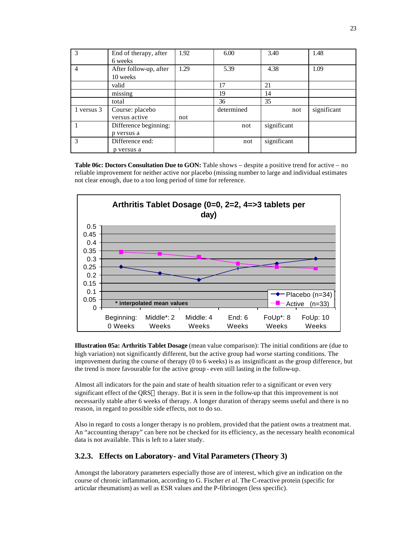| 3              | End of therapy, after<br>6 weeks    | 1.92 | 6.00       | 3.40        | 1.48        |
|----------------|-------------------------------------|------|------------|-------------|-------------|
| $\overline{4}$ | After follow-up, after<br>10 weeks  | 1.29 | 5.39       | 4.38        | 1.09        |
|                | valid                               |      | 17         | 21          |             |
|                | missing                             |      | 19         | 14          |             |
|                | total                               |      | 36         | 35          |             |
| 1 versus 3     | Course: placebo<br>versus active    | not  | determined | not         | significant |
|                | Difference beginning:<br>p versus a |      | not        | significant |             |
| 3              | Difference end:<br>p versus a       |      | not        | significant |             |

**Table 06c: Doctors Consultation Due to GON:** Table shows – despite a positive trend for active – no reliable improvement for neither active nor placebo (missing number to large and individual estimates not clear enough, due to a too long period of time for reference.



**Illustration 05a: Arthritis Tablet Dosage** (mean value comparison): The initial conditions are (due to high variation) not significantly different, but the active group had worse starting conditions. The improvement during the course of therapy (0 to 6 weeks) is as insignificant as the group difference, but the trend is more favourable for the active group - even still lasting in the follow-up.

Almost all indicators for the pain and state of health situation refer to a significant or even very significant effect of the QRS® therapy. But it is seen in the follow-up that this improvement is not necessarily stable after 6 weeks of therapy. A longer duration of therapy seems useful and there is no reason, in regard to possible side effects, not to do so.

Also in regard to costs a longer therapy is no problem, provided that the patient owns a treatment mat. An "accounting therapy" can here not be checked for its efficiency, as the necessary health economical data is not available. This is left to a later study.

### **3.2.3. Effects on Laboratory- and Vital Parameters (Theory 3)**

Amongst the laboratory parameters especially those are of interest, which give an indication on the course of chronic inflammation, according to G. Fischer *et al.* The C-reactive protein (specific for articular rheumatism) as well as ESR values and the P-fibrinogen (less specific).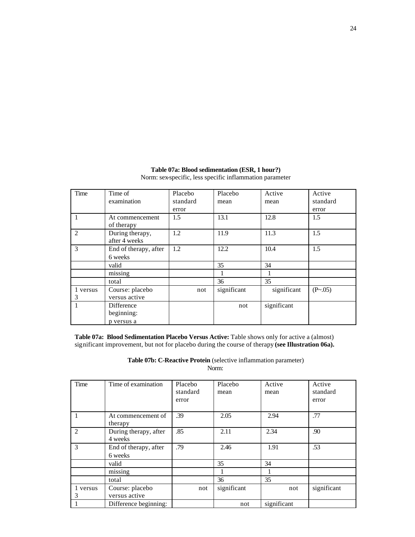| Time          | Time of                                | Placebo  | Placebo     | Active      | Active   |
|---------------|----------------------------------------|----------|-------------|-------------|----------|
|               | examination                            | standard | mean        | mean        | standard |
|               |                                        | error    |             |             | error    |
| 1             | At commencement<br>of therapy          | 1.5      | 13.1        | 12.8        | 1.5      |
| 2             | During therapy,<br>after 4 weeks       | 1.2      | 11.9        | 11.3        | 1.5      |
| 3             | End of therapy, after<br>6 weeks       | 1.2      | 12.2        | 10.4        | 1.5      |
|               | valid                                  |          | 35          | 34          |          |
|               | missing                                |          |             |             |          |
|               | total                                  |          | 36          | 35          |          |
| 1 versus<br>3 | Course: placebo<br>versus active       | not      | significant | significant | (P~0.05) |
| 1             | Difference<br>beginning:<br>p versus a |          | not         | significant |          |

### **Table 07a: Blood sedimentation (ESR, 1 hour?)** Norm: sex-specific, less specific inflammation parameter

**Table 07a: Blood Sedimentation Placebo Versus Active:** Table shows only for active a (almost) significant improvement, but not for placebo during the course of therapy **(see Illustration 06a).**

**Table 07b: C-Reactive Protein** (selective inflammation parameter) Norm:

| Time          | Time of examination              | Placebo<br>standard<br>error | Placebo<br>mean | Active<br>mean | Active<br>standard<br>error |
|---------------|----------------------------------|------------------------------|-----------------|----------------|-----------------------------|
|               | At commencement of<br>therapy    | .39                          | 2.05            | 2.94           | .77                         |
| 2             | During therapy, after<br>4 weeks | .85                          | 2.11            | 2.34           | .90                         |
| 3             | End of therapy, after<br>6 weeks | .79                          | 2.46            | 1.91           | .53                         |
|               | valid                            |                              | 35              | 34             |                             |
|               | missing                          |                              |                 |                |                             |
|               | total                            |                              | 36              | 35             |                             |
| 1 versus<br>3 | Course: placebo<br>versus active | not                          | significant     | not            | significant                 |
|               | Difference beginning:            |                              | not             | significant    |                             |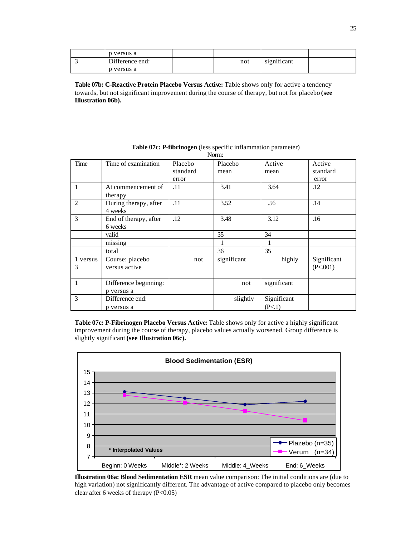| p versus a      |     |             |  |
|-----------------|-----|-------------|--|
| Difference end: | not | significant |  |
| p versus a      |     |             |  |

**Table 07b: C-Reactive Protein Placebo Versus Active:** Table shows only for active a tendency towards, but not significant improvement during the course of therapy, but not for placebo **(see Illustration 06b).**

|          | 1 VOLLLI.             |          |             |             |             |  |  |  |
|----------|-----------------------|----------|-------------|-------------|-------------|--|--|--|
| Time     | Time of examination   | Placebo  | Placebo     | Active      | Active      |  |  |  |
|          |                       | standard | mean        | mean        | standard    |  |  |  |
|          |                       | error    |             |             | error       |  |  |  |
| 1        | At commencement of    | .11      | 3.41        | 3.64        | .12         |  |  |  |
|          | therapy               |          |             |             |             |  |  |  |
| 2        | During therapy, after | .11      | 3.52        | .56         | .14         |  |  |  |
|          | 4 weeks               |          |             |             |             |  |  |  |
| 3        | End of therapy, after | .12      | 3.48        | 3.12        | .16         |  |  |  |
|          | 6 weeks               |          |             |             |             |  |  |  |
|          | valid                 |          | 35          | 34          |             |  |  |  |
|          | missing               |          |             |             |             |  |  |  |
|          | total                 |          | 36          | 35          |             |  |  |  |
| 1 versus | Course: placebo       | not      | significant | highly      | Significant |  |  |  |
| 3        | versus active         |          |             |             | (P<.001)    |  |  |  |
|          |                       |          |             |             |             |  |  |  |
| 1        | Difference beginning: |          | not         | significant |             |  |  |  |
|          | p versus a            |          |             |             |             |  |  |  |
| 3        | Difference end:       |          | slightly    | Significant |             |  |  |  |
|          | p versus a            |          |             | (P<.1)      |             |  |  |  |

**Table 07c: P-fibrinogen** (less specific inflammation parameter) Norm:

**Table 07c: P-Fibrinogen Placebo Versus Active:** Table shows only for active a highly significant improvement during the course of therapy, placebo values actually worsened. Group difference is slightly significant **(see Illustration 06c).**



**Illustration 06a: Blood Sedimentation ESR** mean value comparison: The initial conditions are (due to high variation) not significantly different. The advantage of active compared to placebo only becomes clear after 6 weeks of therapy  $(P<0.05)$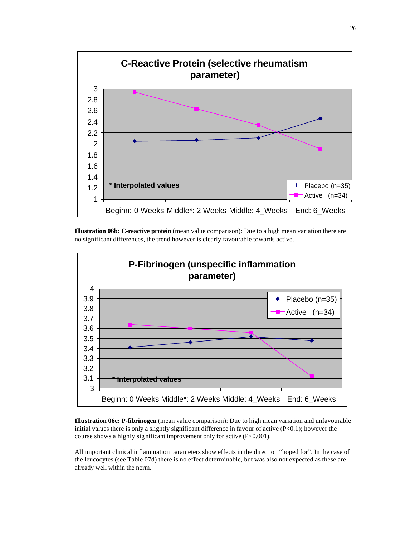

**Illustration 06b: C-reactive protein** (mean value comparison): Due to a high mean variation there are no significant differences, the trend however is clearly favourable towards active.



**Illustration 06c: P-fibrinogen** (mean value comparison): Due to high mean variation and unfavourable initial values there is only a slightly significant difference in favour of active  $(P<0.1)$ ; however the course shows a highly significant improvement only for active (P<0.001).

All important clinical inflammation parameters show effects in the direction "hoped for". In the case of the leucocytes (see Table 07d) there is no effect determinable, but was also not expected as these are already well within the norm.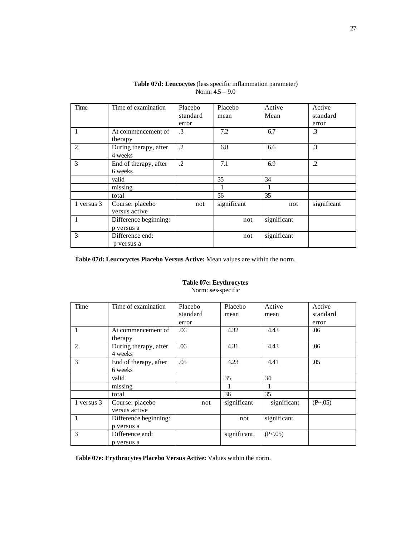| Time       | Time of examination   | Placebo  | Placebo     | Active      | Active      |
|------------|-----------------------|----------|-------------|-------------|-------------|
|            |                       | standard | mean        | Mean        | standard    |
|            |                       | error    |             |             | error       |
| 1          | At commencement of    | .3       | 7.2         | 6.7         | $\cdot$ 3   |
|            | therapy               |          |             |             |             |
| 2          | During therapy, after | $\cdot$  | 6.8         | 6.6         | .3          |
|            | 4 weeks               |          |             |             |             |
| 3          | End of therapy, after | $\cdot$  | 7.1         | 6.9         | $\cdot$     |
|            | 6 weeks               |          |             |             |             |
|            | valid                 |          | 35          | 34          |             |
|            | missing               |          |             |             |             |
|            | total                 |          | 36          | 35          |             |
| 1 versus 3 | Course: placebo       | not      | significant | not         | significant |
|            | versus active         |          |             |             |             |
| 1          | Difference beginning: |          | not         | significant |             |
|            | p versus a            |          |             |             |             |
| 3          | Difference end:       |          | not         | significant |             |
|            | p versus a            |          |             |             |             |

**Table 07d: Leucocytes** (less specific inflammation parameter) Norm: 4.5 – 9.0

**Table 07d: Leucocyctes Placebo Versus Active:** Mean values are within the norm.

### **Table 07e: Erythrocytes** Norm: sex-specific

| Time       | Time of examination   | Placebo  | Placebo     | Active      | Active   |
|------------|-----------------------|----------|-------------|-------------|----------|
|            |                       | standard | mean        | mean        | standard |
|            |                       | error    |             |             | error    |
|            | At commencement of    | .06      | 4.32        | 4.43        | .06      |
|            | therapy               |          |             |             |          |
| 2          | During therapy, after | .06      | 4.31        | 4.43        | .06      |
|            | 4 weeks               |          |             |             |          |
| 3          | End of therapy, after | .05      | 4.23        | 4.41        | .05      |
|            | 6 weeks               |          |             |             |          |
|            | valid                 |          | 35          | 34          |          |
|            | missing               |          |             |             |          |
|            | total                 |          | 36          | 35          |          |
| 1 versus 3 | Course: placebo       | not      | significant | significant | (P~0.05) |
|            | versus active         |          |             |             |          |
|            | Difference beginning: |          | not         | significant |          |
|            | p versus a            |          |             |             |          |
| 3          | Difference end:       |          | significant | (P<.05)     |          |
|            | p versus a            |          |             |             |          |

**Table 07e: Erythrocytes Placebo Versus Active:** Values within the norm.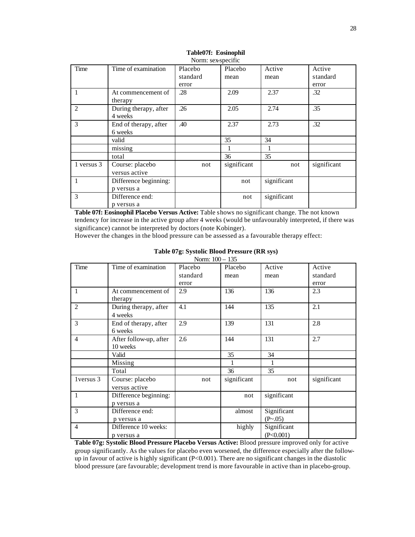| Time           | Time of examination   | Placebo  | Placebo     | Active      | Active      |  |  |
|----------------|-----------------------|----------|-------------|-------------|-------------|--|--|
|                |                       | standard | mean        | mean        | standard    |  |  |
|                |                       | error    |             |             | error       |  |  |
|                | At commencement of    | .28      | 2.09        | 2.37        | .32         |  |  |
|                | therapy               |          |             |             |             |  |  |
| $\overline{2}$ | During therapy, after | .26      | 2.05        | 2.74        | .35         |  |  |
|                | 4 weeks               |          |             |             |             |  |  |
| 3              | End of therapy, after | .40      | 2.37        | 2.73        | .32         |  |  |
|                | 6 weeks               |          |             |             |             |  |  |
|                | valid                 |          | 35          | 34          |             |  |  |
|                | missing               |          |             |             |             |  |  |
|                | total                 |          | 36          | 35          |             |  |  |
| 1 versus 3     | Course: placebo       | not      | significant | not         | significant |  |  |
|                | versus active         |          |             |             |             |  |  |
|                | Difference beginning: |          | not         | significant |             |  |  |
|                | p versus a            |          |             |             |             |  |  |
| 3              | Difference end:       |          | not         | significant |             |  |  |
|                | p versus a            |          |             |             |             |  |  |

#### **Table07f: Eosinophil** Norm: sex-specific

**Table 07f: Eosinophil Placebo Versus Active:** Table shows no significant change. The not known tendency for increase in the active group after 4 weeks (would be unfavourably interpreted, if there was significance) cannot be interpreted by doctors (note Kobinger).

However the changes in the blood pressure can be assessed as a favourable therapy effect:

|                |                                     | $1101111.100 - 155$ |             |                          |             |
|----------------|-------------------------------------|---------------------|-------------|--------------------------|-------------|
| Time           | Time of examination                 | Placebo             | Placebo     | Active                   | Active      |
|                |                                     | standard            | mean        | mean                     | standard    |
|                |                                     | error               |             |                          | error       |
| $\mathbf{1}$   | At commencement of<br>therapy       | 2.9                 | 136         | 136                      | 2.3         |
| 2              | During therapy, after<br>4 weeks    | 4.1                 | 144         | 135                      | 2.1         |
| $\overline{3}$ | End of therapy, after<br>6 weeks    | 2.9                 | 139         | 131                      | 2.8         |
| $\overline{4}$ | After follow-up, after<br>10 weeks  | 2.6                 | 144         | 131                      | 2.7         |
|                | Valid                               |                     | 35          | 34                       |             |
|                | Missing                             |                     | 1           | 1                        |             |
|                | Total                               |                     | 36          | 35                       |             |
| 1 versus 3     | Course: placebo<br>versus active    | not                 | significant | not                      | significant |
| 1              | Difference beginning:<br>p versus a |                     | not         | significant              |             |
| 3              | Difference end:<br>p versus a       |                     | almost      | Significant<br>(P~0.05)  |             |
| $\overline{4}$ | Difference 10 weeks:<br>p versus a  |                     | highly      | Significant<br>(P<0.001) |             |

#### **Table 07g: Systolic Blood Pressure (RR sys)** Norm: 100 – 135

**Table 07g: Systolic Blood Pressure Placebo Versus Active:** Blood pressure improved only for active group significantly. As the values for placebo even worsened, the difference especially after the followup in favour of active is highly significant (P<0.001). There are no significant changes in the diastolic blood pressure (are favourable; development trend is more favourable in active than in placebo-group.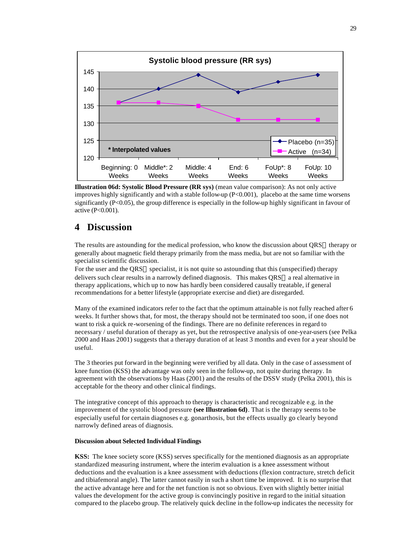

**Illustration 06d: Systolic Blood Pressure (RR sys)** (mean value comparison): As not only active improves highly significantly and with a stable follow-up (P<0.001), placebo at the same time worsens significantly (P<0.05), the group difference is especially in the follow-up highly significant in favour of active (P<0.001).

## **4 Discussion**

The results are astounding for the medical profession, who know the discussion about QRS® therapy or generally about magnetic field therapy primarily from the mass media, but are not so familiar with the specialist scientific discussion.

For the user and the QRS® specialist, it is not quite so astounding that this (unspecified) therapy delivers such clear results in a narrowly defined diagnosis. This makes  $ORS@a$  real alternative in therapy applications, which up to now has hardly been considered causally treatable, if general recommendations for a better lifestyle (appropriate exercise and diet) are disregarded.

Many of the examined indicators refer to the fact that the optimum attainable is not fully reached after 6 weeks. It further shows that, for most, the therapy should not be terminated too soon, if one does not want to risk a quick re-worsening of the findings. There are no definite references in regard to necessary / useful duration of therapy as yet, but the retrospective analysis of one-year-users (see Pelka 2000 and Haas 2001) suggests that a therapy duration of at least 3 months and even for a year should be useful.

The 3 theories put forward in the beginning were verified by all data. Only in the case of assessment of knee function (KSS) the advantage was only seen in the follow-up, not quite during therapy. In agreement with the observations by Haas (2001) and the results of the DSSV study (Pelka 2001), this is acceptable for the theory and other clinical findings.

The integrative concept of this approach to therapy is characteristic and recognizable e.g. in the improvement of the systolic blood pressure **(see Illustration 6d)**. That is the therapy seems to be especially useful for certain diagnoses e.g. gonarthosis, but the effects usually go clearly beyond narrowly defined areas of diagnosis.

#### **Discussion about Selected Individual Findings**

**KSS:** The knee society score (KSS) serves specifically for the mentioned diagnosis as an appropriate standardized measuring instrument, where the interim evaluation is a knee assessment without deductions and the evaluation is a knee assessment with deductions (flexion contracture, stretch deficit and tibiafemoral angle). The latter cannot easily in such a short time be improved. It is no surprise that the active advantage here and for the net function is not so obvious. Even with slightly better initial values the development for the active group is convincingly positive in regard to the initial situation compared to the placebo group. The relatively quick decline in the follow-up indicates the necessity for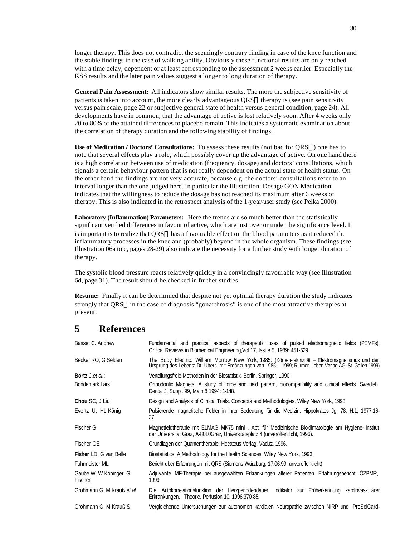longer therapy. This does not contradict the seemingly contrary finding in case of the knee function and the stable findings in the case of walking ability. Obviously these functional results are only reached with a time delay, dependent or at least corresponding to the assessment 2 weeks earlier. Especially the KSS results and the later pain values suggest a longer to long duration of therapy.

**General Pain Assessment:** All indicators show similar results. The more the subjective sensitivity of patients is taken into account, the more clearly advantageous QRS® therapy is (see pain sensitivity versus pain scale, page 22 or subjective general state of health versus general condition, page 24). All developments have in common, that the advantage of active is lost relatively soon. After 4 weeks only 20 to 80% of the attained differences to placebo remain. This indicates a systematic examination about the correlation of therapy duration and the following stability of findings.

Use of Medication / Doctors' Consultations: To assess these results (not bad for QRS®) one has to note that several effects play a role, which possibly cover up the advantage of active. On one hand there is a high correlation between use of medication (frequency, dosage) and doctors' consultations, which signals a certain behaviour pattern that is not really dependent on the actual state of health status. On the other hand the findings are not very accurate, because e.g. the doctors' consultations refer to an interval longer than the one judged here. In particular the Illustration: Dosage GON Medication indicates that the willingness to reduce the dosage has not reached its maximum after 6 weeks of therapy. This is also indicated in the retrospect analysis of the 1-year-user study (see Pelka 2000).

**Laboratory (Inflammation) Parameters:** Here the trends are so much better than the statistically significant verified differences in favour of active, which are just over or under the significance level. It is important is to realize that  $QRS@$  has a favourable effect on the blood parameters as it reduced the inflammatory processes in the knee and (probably) beyond in the whole organism. These findings (see Illustration 06a to c, pages 28-29) also indicate the necessity for a further study with longer duration of therapy.

The systolic blood pressure reacts relatively quickly in a convincingly favourable way (see Illustration 6d, page 31). The result should be checked in further studies.

**Resume:** Finally it can be determined that despite not yet optimal therapy duration the study indicates strongly that QRS® in the case of diagnosis "gonarthrosis" is one of the most attractive therapies at present.

## **5 References**

| Basset C. Andrew                  | Fundamental and practical aspects of therapeutic uses of pulsed electromagnetic fields (PEMFs).<br>Critical Reviews in Biomedical Engineering, Vol. 17, Issue 5, 1989: 451-529                                    |
|-----------------------------------|-------------------------------------------------------------------------------------------------------------------------------------------------------------------------------------------------------------------|
| Becker RO, G Selden               | The Body Electric. William Morrow New York, 1985. (Körperelektrizität – Elektromagnetismus und der<br>Ursprung des Lebens: Dt. Übers. mit Ergänzungen von 1985 - 1999; R.Irmer, Leben Verlag AG, St. Gallen 1999) |
| <b>Bortz</b> J. <i>et al.</i> :   | Verteilungsfreie Methoden in der Biostatistik. Berlin, Springer, 1990.                                                                                                                                            |
| <b>Bondemark Lars</b>             | Orthodontic Magnets. A study of force and field pattern, biocompatibility and clinical effects. Swedish<br>Dental J. Suppl. 99, Malmö 1994: 1-148.                                                                |
| Chou SC, J Liu                    | Design and Analysis of Clinical Trials. Concepts and Methodologies. Wiley New York, 1998.                                                                                                                         |
| Evertz U, HL König                | Pulsierende magnetische Felder in ihrer Bedeutung für die Medizin. Hippokrates Jg. 78, H.1; 1977:16-<br>37                                                                                                        |
| Fischer G.                        | Magnetfeldtherapie mit ELMAG MK75 mini. Abt. für Medizinische Bioklimatologie am Hygiene- Institut<br>der Universität Graz, A-8010Graz, Universitätsplatz 4 (unveröffentlicht, 1996).                             |
| Fischer GE                        | Grundlagen der Quantentherapie. Hecateus Verlag, Vaduz, 1996.                                                                                                                                                     |
| Fisher LD, G van Belle            | Biostatistics. A Methodology for the Health Sciences. Wiley New York, 1993.                                                                                                                                       |
| Fuhrmeister ML                    | Bericht über Erfahrungen mit QRS (Siemens Würzburg, 17.06.99, unveröffentlicht)                                                                                                                                   |
| Gaube W, W Kobinger, G<br>Fischer | Adjuvante MF-Therapie bei ausgewählten Erkrankungen älterer Patienten. Erfahrungsbericht. ÖZPMR,<br>1999.                                                                                                         |
| Grohmann G, M Krauß et al         | Autokorrelationsfunktion der Herzperiodendauer. Indikator zur Früherkennung kardiovaskulärer<br>Die<br>Erkrankungen. I Theorie. Perfusion 10, 1996:370-85.                                                        |
| Grohmann G, M Krauß S             | Vergleichende Untersuchungen zur autonomen kardialen Neuropathie zwischen NIRP und ProSciCard-                                                                                                                    |